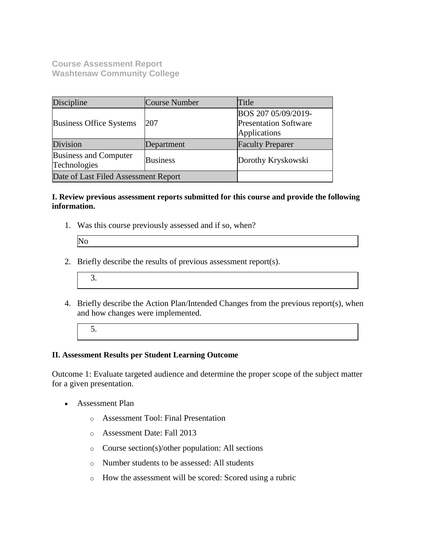**Course Assessment Report Washtenaw Community College**

| Discipline                                   | Course Number   | Title                                                                      |
|----------------------------------------------|-----------------|----------------------------------------------------------------------------|
| <b>Business Office Systems</b>               | 207             | BOS 207 05/09/2019-<br><b>Presentation Software</b><br><b>Applications</b> |
| Division                                     | Department      | <b>Faculty Preparer</b>                                                    |
| <b>Business and Computer</b><br>Technologies | <b>Business</b> | Dorothy Kryskowski                                                         |
| Date of Last Filed Assessment Report         |                 |                                                                            |

#### **I. Review previous assessment reports submitted for this course and provide the following information.**

1. Was this course previously assessed and if so, when?

| IN. |  |
|-----|--|
|     |  |
|     |  |
|     |  |

- 2. Briefly describe the results of previous assessment report(s).
	- 3.
- 4. Briefly describe the Action Plan/Intended Changes from the previous report(s), when and how changes were implemented.
	- 5.

# **II. Assessment Results per Student Learning Outcome**

Outcome 1: Evaluate targeted audience and determine the proper scope of the subject matter for a given presentation.

- Assessment Plan
	- o Assessment Tool: Final Presentation
	- o Assessment Date: Fall 2013
	- o Course section(s)/other population: All sections
	- o Number students to be assessed: All students
	- o How the assessment will be scored: Scored using a rubric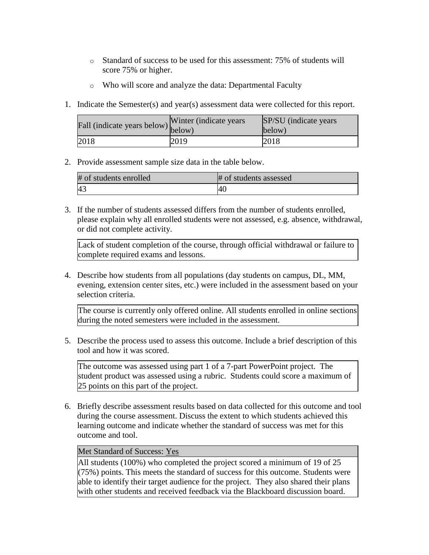- o Standard of success to be used for this assessment: 75% of students will score 75% or higher.
- o Who will score and analyze the data: Departmental Faculty
- 1. Indicate the Semester(s) and year(s) assessment data were collected for this report.

| riall (indicate years below) below) | Winter (indicate years) | SP/SU (indicate years)<br>below) |
|-------------------------------------|-------------------------|----------------------------------|
| 2018                                | 2019                    | 2018                             |

2. Provide assessment sample size data in the table below.

| # of students enrolled | # of students assessed |
|------------------------|------------------------|
|                        | -40.                   |

3. If the number of students assessed differs from the number of students enrolled, please explain why all enrolled students were not assessed, e.g. absence, withdrawal, or did not complete activity.

Lack of student completion of the course, through official withdrawal or failure to complete required exams and lessons.

4. Describe how students from all populations (day students on campus, DL, MM, evening, extension center sites, etc.) were included in the assessment based on your selection criteria.

The course is currently only offered online. All students enrolled in online sections during the noted semesters were included in the assessment.

5. Describe the process used to assess this outcome. Include a brief description of this tool and how it was scored.

The outcome was assessed using part 1 of a 7-part PowerPoint project. The student product was assessed using a rubric. Students could score a maximum of 25 points on this part of the project.

6. Briefly describe assessment results based on data collected for this outcome and tool during the course assessment. Discuss the extent to which students achieved this learning outcome and indicate whether the standard of success was met for this outcome and tool.

## Met Standard of Success: Yes

All students (100%) who completed the project scored a minimum of 19 of 25 (75%) points. This meets the standard of success for this outcome. Students were able to identify their target audience for the project. They also shared their plans with other students and received feedback via the Blackboard discussion board.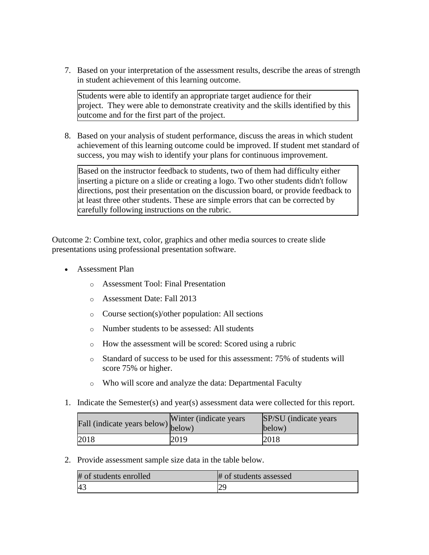7. Based on your interpretation of the assessment results, describe the areas of strength in student achievement of this learning outcome.

Students were able to identify an appropriate target audience for their project. They were able to demonstrate creativity and the skills identified by this outcome and for the first part of the project.

8. Based on your analysis of student performance, discuss the areas in which student achievement of this learning outcome could be improved. If student met standard of success, you may wish to identify your plans for continuous improvement.

Based on the instructor feedback to students, two of them had difficulty either inserting a picture on a slide or creating a logo. Two other students didn't follow directions, post their presentation on the discussion board, or provide feedback to at least three other students. These are simple errors that can be corrected by carefully following instructions on the rubric.

Outcome 2: Combine text, color, graphics and other media sources to create slide presentations using professional presentation software.

- Assessment Plan
	- o Assessment Tool: Final Presentation
	- o Assessment Date: Fall 2013
	- o Course section(s)/other population: All sections
	- o Number students to be assessed: All students
	- o How the assessment will be scored: Scored using a rubric
	- o Standard of success to be used for this assessment: 75% of students will score 75% or higher.
	- o Who will score and analyze the data: Departmental Faculty
- 1. Indicate the Semester(s) and year(s) assessment data were collected for this report.

| Fall (indicate years below) below) | Winter (indicate years) | SP/SU (indicate years)<br>below) |
|------------------------------------|-------------------------|----------------------------------|
| 2018                               | 2019                    | 2018                             |

2. Provide assessment sample size data in the table below.

| # of students enrolled | # of students assessed |
|------------------------|------------------------|
| 43                     |                        |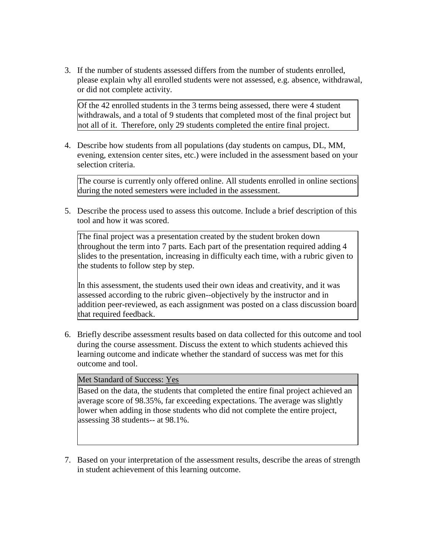3. If the number of students assessed differs from the number of students enrolled, please explain why all enrolled students were not assessed, e.g. absence, withdrawal, or did not complete activity.

Of the 42 enrolled students in the 3 terms being assessed, there were 4 student withdrawals, and a total of 9 students that completed most of the final project but not all of it. Therefore, only 29 students completed the entire final project.

4. Describe how students from all populations (day students on campus, DL, MM, evening, extension center sites, etc.) were included in the assessment based on your selection criteria.

The course is currently only offered online. All students enrolled in online sections during the noted semesters were included in the assessment.

5. Describe the process used to assess this outcome. Include a brief description of this tool and how it was scored.

The final project was a presentation created by the student broken down throughout the term into 7 parts. Each part of the presentation required adding 4 slides to the presentation, increasing in difficulty each time, with a rubric given to the students to follow step by step.

In this assessment, the students used their own ideas and creativity, and it was assessed according to the rubric given--objectively by the instructor and in addition peer-reviewed, as each assignment was posted on a class discussion board that required feedback.

6. Briefly describe assessment results based on data collected for this outcome and tool during the course assessment. Discuss the extent to which students achieved this learning outcome and indicate whether the standard of success was met for this outcome and tool.

### Met Standard of Success: Yes

Based on the data, the students that completed the entire final project achieved an average score of 98.35%, far exceeding expectations. The average was slightly lower when adding in those students who did not complete the entire project, assessing 38 students-- at 98.1%.

7. Based on your interpretation of the assessment results, describe the areas of strength in student achievement of this learning outcome.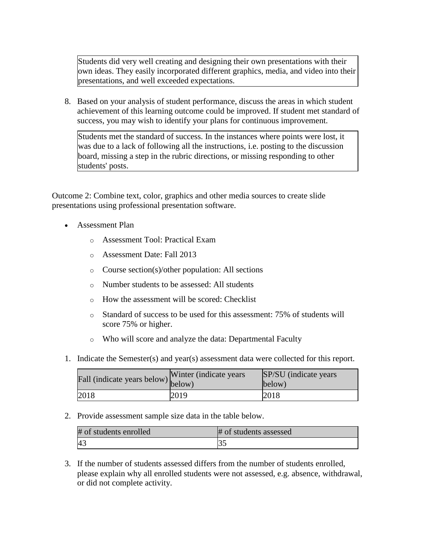Students did very well creating and designing their own presentations with their own ideas. They easily incorporated different graphics, media, and video into their presentations, and well exceeded expectations.

8. Based on your analysis of student performance, discuss the areas in which student achievement of this learning outcome could be improved. If student met standard of success, you may wish to identify your plans for continuous improvement.

Students met the standard of success. In the instances where points were lost, it was due to a lack of following all the instructions, i.e. posting to the discussion board, missing a step in the rubric directions, or missing responding to other students' posts.

Outcome 2: Combine text, color, graphics and other media sources to create slide presentations using professional presentation software.

- Assessment Plan
	- o Assessment Tool: Practical Exam
	- o Assessment Date: Fall 2013
	- o Course section(s)/other population: All sections
	- o Number students to be assessed: All students
	- o How the assessment will be scored: Checklist
	- o Standard of success to be used for this assessment: 75% of students will score 75% or higher.
	- o Who will score and analyze the data: Departmental Faculty
- 1. Indicate the Semester(s) and year(s) assessment data were collected for this report.

| Fall (indicate years below) below) | Winter (indicate years) | SP/SU (indicate years)<br>below) |
|------------------------------------|-------------------------|----------------------------------|
| 2018                               | 2019                    | 2018                             |

2. Provide assessment sample size data in the table below.

| # of students enrolled | # of students assessed |
|------------------------|------------------------|
| - 4.                   |                        |

3. If the number of students assessed differs from the number of students enrolled, please explain why all enrolled students were not assessed, e.g. absence, withdrawal, or did not complete activity.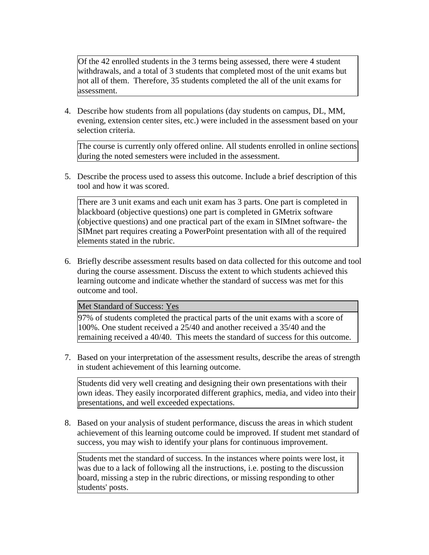Of the 42 enrolled students in the 3 terms being assessed, there were 4 student withdrawals, and a total of 3 students that completed most of the unit exams but not all of them. Therefore, 35 students completed the all of the unit exams for assessment.

4. Describe how students from all populations (day students on campus, DL, MM, evening, extension center sites, etc.) were included in the assessment based on your selection criteria.

The course is currently only offered online. All students enrolled in online sections during the noted semesters were included in the assessment.

5. Describe the process used to assess this outcome. Include a brief description of this tool and how it was scored.

There are 3 unit exams and each unit exam has 3 parts. One part is completed in blackboard (objective questions) one part is completed in GMetrix software (objective questions) and one practical part of the exam in SIMnet software- the SIMnet part requires creating a PowerPoint presentation with all of the required elements stated in the rubric.

6. Briefly describe assessment results based on data collected for this outcome and tool during the course assessment. Discuss the extent to which students achieved this learning outcome and indicate whether the standard of success was met for this outcome and tool.

Met Standard of Success: Yes

97% of students completed the practical parts of the unit exams with a score of 100%. One student received a 25/40 and another received a 35/40 and the remaining received a 40/40. This meets the standard of success for this outcome.

7. Based on your interpretation of the assessment results, describe the areas of strength in student achievement of this learning outcome.

Students did very well creating and designing their own presentations with their own ideas. They easily incorporated different graphics, media, and video into their presentations, and well exceeded expectations.

8. Based on your analysis of student performance, discuss the areas in which student achievement of this learning outcome could be improved. If student met standard of success, you may wish to identify your plans for continuous improvement.

Students met the standard of success. In the instances where points were lost, it was due to a lack of following all the instructions, i.e. posting to the discussion board, missing a step in the rubric directions, or missing responding to other students' posts.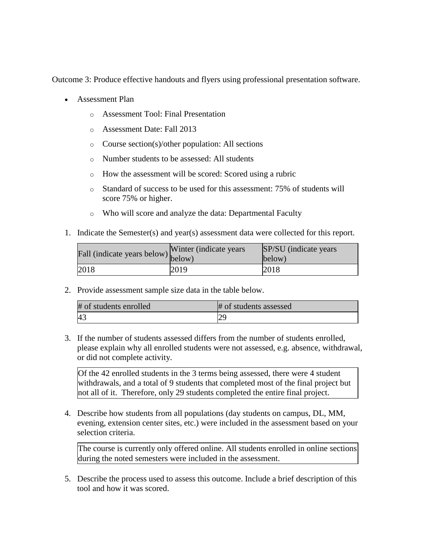Outcome 3: Produce effective handouts and flyers using professional presentation software.

- Assessment Plan
	- o Assessment Tool: Final Presentation
	- o Assessment Date: Fall 2013
	- o Course section(s)/other population: All sections
	- o Number students to be assessed: All students
	- o How the assessment will be scored: Scored using a rubric
	- o Standard of success to be used for this assessment: 75% of students will score 75% or higher.
	- o Who will score and analyze the data: Departmental Faculty
- 1. Indicate the Semester(s) and year(s) assessment data were collected for this report.

| Fall (indicate years below) below) | Winter (indicate years) | SP/SU (indicate years)<br>below) |
|------------------------------------|-------------------------|----------------------------------|
| 2018                               | 2019                    | 2018                             |

2. Provide assessment sample size data in the table below.

| # of students enrolled | # of students assessed |
|------------------------|------------------------|
| 4 <sup>3</sup>         |                        |

3. If the number of students assessed differs from the number of students enrolled, please explain why all enrolled students were not assessed, e.g. absence, withdrawal, or did not complete activity.

Of the 42 enrolled students in the 3 terms being assessed, there were 4 student withdrawals, and a total of 9 students that completed most of the final project but not all of it. Therefore, only 29 students completed the entire final project.

4. Describe how students from all populations (day students on campus, DL, MM, evening, extension center sites, etc.) were included in the assessment based on your selection criteria.

The course is currently only offered online. All students enrolled in online sections during the noted semesters were included in the assessment.

5. Describe the process used to assess this outcome. Include a brief description of this tool and how it was scored.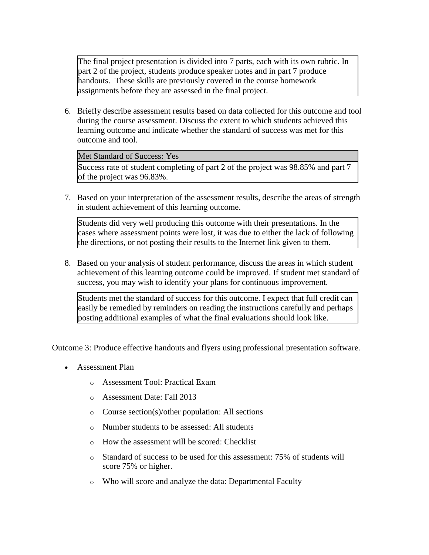The final project presentation is divided into 7 parts, each with its own rubric. In part 2 of the project, students produce speaker notes and in part 7 produce handouts. These skills are previously covered in the course homework assignments before they are assessed in the final project.

6. Briefly describe assessment results based on data collected for this outcome and tool during the course assessment. Discuss the extent to which students achieved this learning outcome and indicate whether the standard of success was met for this outcome and tool.

### Met Standard of Success: Yes

Success rate of student completing of part 2 of the project was 98.85% and part 7 of the project was 96.83%.

7. Based on your interpretation of the assessment results, describe the areas of strength in student achievement of this learning outcome.

Students did very well producing this outcome with their presentations. In the cases where assessment points were lost, it was due to either the lack of following the directions, or not posting their results to the Internet link given to them.

8. Based on your analysis of student performance, discuss the areas in which student achievement of this learning outcome could be improved. If student met standard of success, you may wish to identify your plans for continuous improvement.

Students met the standard of success for this outcome. I expect that full credit can easily be remedied by reminders on reading the instructions carefully and perhaps posting additional examples of what the final evaluations should look like.

Outcome 3: Produce effective handouts and flyers using professional presentation software.

- Assessment Plan
	- o Assessment Tool: Practical Exam
	- o Assessment Date: Fall 2013
	- o Course section(s)/other population: All sections
	- o Number students to be assessed: All students
	- o How the assessment will be scored: Checklist
	- o Standard of success to be used for this assessment: 75% of students will score 75% or higher.
	- o Who will score and analyze the data: Departmental Faculty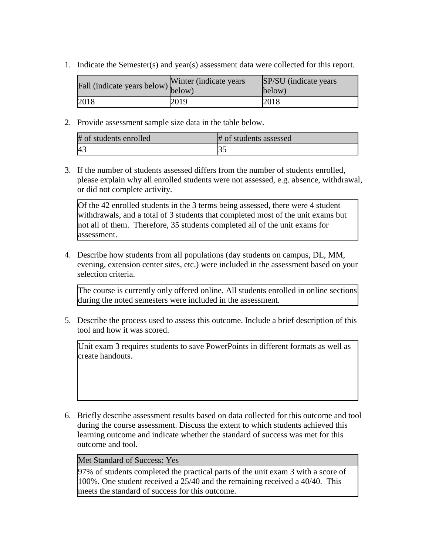1. Indicate the Semester(s) and year(s) assessment data were collected for this report.

| Fall (indicate years below) below) | Winter (indicate years) | SP/SU (indicate years)<br>below) |
|------------------------------------|-------------------------|----------------------------------|
| 2018                               | 2019                    | 2018                             |

2. Provide assessment sample size data in the table below.

| # of students enrolled | # of students assessed |
|------------------------|------------------------|
| 4 <sup>3</sup>         |                        |

3. If the number of students assessed differs from the number of students enrolled, please explain why all enrolled students were not assessed, e.g. absence, withdrawal, or did not complete activity.

Of the 42 enrolled students in the 3 terms being assessed, there were 4 student withdrawals, and a total of 3 students that completed most of the unit exams but not all of them. Therefore, 35 students completed all of the unit exams for assessment.

4. Describe how students from all populations (day students on campus, DL, MM, evening, extension center sites, etc.) were included in the assessment based on your selection criteria.

The course is currently only offered online. All students enrolled in online sections during the noted semesters were included in the assessment.

5. Describe the process used to assess this outcome. Include a brief description of this tool and how it was scored.

Unit exam 3 requires students to save PowerPoints in different formats as well as create handouts.

6. Briefly describe assessment results based on data collected for this outcome and tool during the course assessment. Discuss the extent to which students achieved this learning outcome and indicate whether the standard of success was met for this outcome and tool.

### Met Standard of Success: Yes

97% of students completed the practical parts of the unit exam 3 with a score of 100%. One student received a 25/40 and the remaining received a 40/40. This meets the standard of success for this outcome.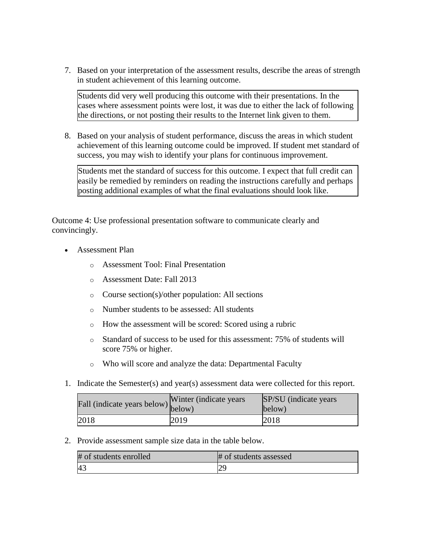7. Based on your interpretation of the assessment results, describe the areas of strength in student achievement of this learning outcome.

Students did very well producing this outcome with their presentations. In the cases where assessment points were lost, it was due to either the lack of following the directions, or not posting their results to the Internet link given to them.

8. Based on your analysis of student performance, discuss the areas in which student achievement of this learning outcome could be improved. If student met standard of success, you may wish to identify your plans for continuous improvement.

Students met the standard of success for this outcome. I expect that full credit can easily be remedied by reminders on reading the instructions carefully and perhaps posting additional examples of what the final evaluations should look like.

Outcome 4: Use professional presentation software to communicate clearly and convincingly.

- Assessment Plan
	- o Assessment Tool: Final Presentation
	- o Assessment Date: Fall 2013
	- o Course section(s)/other population: All sections
	- o Number students to be assessed: All students
	- o How the assessment will be scored: Scored using a rubric
	- o Standard of success to be used for this assessment: 75% of students will score 75% or higher.
	- o Who will score and analyze the data: Departmental Faculty
- 1. Indicate the Semester(s) and year(s) assessment data were collected for this report.

| Fall (indicate years below) below) | Winter (indicate years) | SP/SU (indicate years)<br>below) |
|------------------------------------|-------------------------|----------------------------------|
| 2018                               | 2019                    | 2018                             |

2. Provide assessment sample size data in the table below.

| # of students enrolled | # of students assessed |
|------------------------|------------------------|
| 4 <sup>2</sup>         |                        |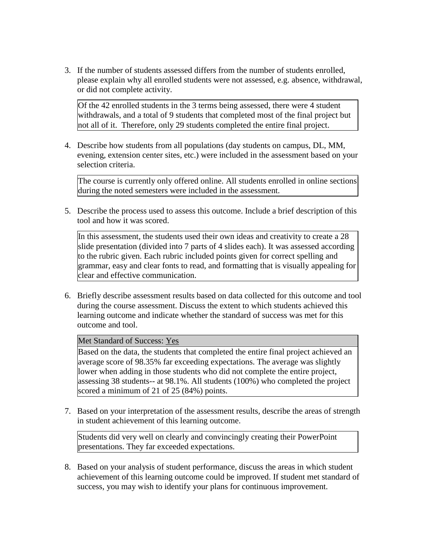3. If the number of students assessed differs from the number of students enrolled, please explain why all enrolled students were not assessed, e.g. absence, withdrawal, or did not complete activity.

Of the 42 enrolled students in the 3 terms being assessed, there were 4 student withdrawals, and a total of 9 students that completed most of the final project but not all of it. Therefore, only 29 students completed the entire final project.

4. Describe how students from all populations (day students on campus, DL, MM, evening, extension center sites, etc.) were included in the assessment based on your selection criteria.

The course is currently only offered online. All students enrolled in online sections during the noted semesters were included in the assessment.

5. Describe the process used to assess this outcome. Include a brief description of this tool and how it was scored.

In this assessment, the students used their own ideas and creativity to create a 28 slide presentation (divided into 7 parts of 4 slides each). It was assessed according to the rubric given. Each rubric included points given for correct spelling and grammar, easy and clear fonts to read, and formatting that is visually appealing for clear and effective communication.

6. Briefly describe assessment results based on data collected for this outcome and tool during the course assessment. Discuss the extent to which students achieved this learning outcome and indicate whether the standard of success was met for this outcome and tool.

Met Standard of Success: Yes

Based on the data, the students that completed the entire final project achieved an average score of 98.35% far exceeding expectations. The average was slightly lower when adding in those students who did not complete the entire project, assessing 38 students-- at 98.1%. All students (100%) who completed the project scored a minimum of 21 of 25 (84%) points.

7. Based on your interpretation of the assessment results, describe the areas of strength in student achievement of this learning outcome.

Students did very well on clearly and convincingly creating their PowerPoint presentations. They far exceeded expectations.

8. Based on your analysis of student performance, discuss the areas in which student achievement of this learning outcome could be improved. If student met standard of success, you may wish to identify your plans for continuous improvement.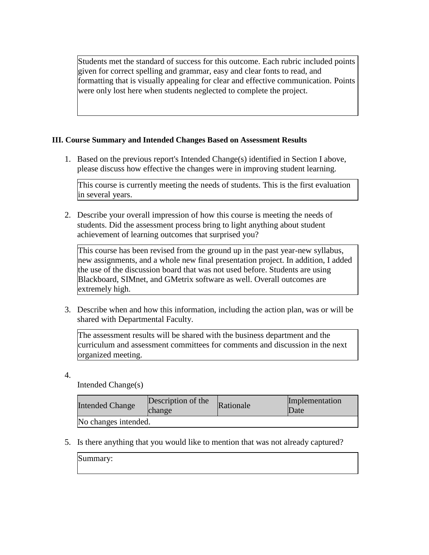Students met the standard of success for this outcome. Each rubric included points given for correct spelling and grammar, easy and clear fonts to read, and formatting that is visually appealing for clear and effective communication. Points were only lost here when students neglected to complete the project.

## **III. Course Summary and Intended Changes Based on Assessment Results**

1. Based on the previous report's Intended Change(s) identified in Section I above, please discuss how effective the changes were in improving student learning.

This course is currently meeting the needs of students. This is the first evaluation in several years.

2. Describe your overall impression of how this course is meeting the needs of students. Did the assessment process bring to light anything about student achievement of learning outcomes that surprised you?

This course has been revised from the ground up in the past year-new syllabus, new assignments, and a whole new final presentation project. In addition, I added the use of the discussion board that was not used before. Students are using Blackboard, SIMnet, and GMetrix software as well. Overall outcomes are extremely high.

3. Describe when and how this information, including the action plan, was or will be shared with Departmental Faculty.

The assessment results will be shared with the business department and the curriculum and assessment committees for comments and discussion in the next organized meeting.

4.

Intended Change(s)

| <b>Intended Change</b> | Description of the<br>change | Rationale | Implementation<br>Date |
|------------------------|------------------------------|-----------|------------------------|
| No changes intended.   |                              |           |                        |

5. Is there anything that you would like to mention that was not already captured?

Summary: